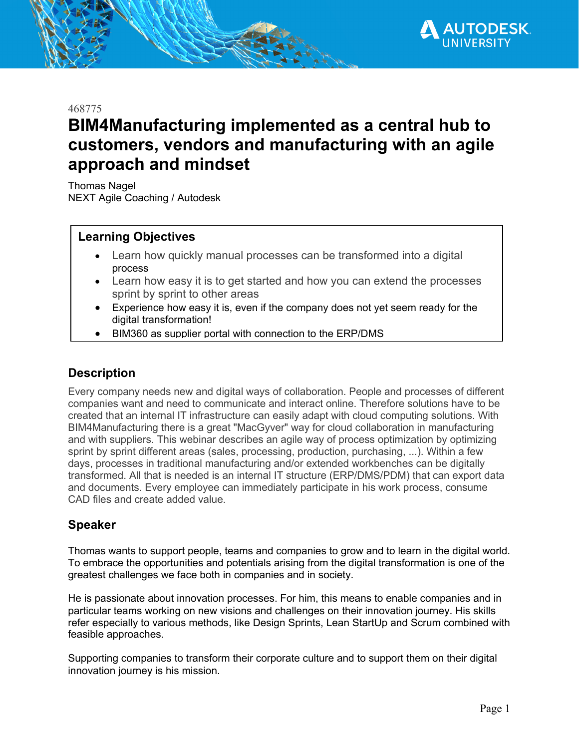

468775

# **BIM4Manufacturing implemented as a central hub to customers, vendors and manufacturing with an agile approach and mindset**

Thomas Nagel NEXT Agile Coaching / Autodesk

## **Learning Objectives**

- Learn how quickly manual processes can be transformed into a digital process
- Learn how easy it is to get started and how you can extend the processes sprint by sprint to other areas
- Experience how easy it is, even if the company does not yet seem ready for the digital transformation!
- BIM360 as supplier portal with connection to the ERP/DMS

#### **Description**

Every company needs new and digital ways of collaboration. People and processes of different companies want and need to communicate and interact online. Therefore solutions have to be created that an internal IT infrastructure can easily adapt with cloud computing solutions. With BIM4Manufacturing there is a great "MacGyver" way for cloud collaboration in manufacturing and with suppliers. This webinar describes an agile way of process optimization by optimizing sprint by sprint different areas (sales, processing, production, purchasing, ...). Within a few days, processes in traditional manufacturing and/or extended workbenches can be digitally transformed. All that is needed is an internal IT structure (ERP/DMS/PDM) that can export data and documents. Every employee can immediately participate in his work process, consume CAD files and create added value.

#### **Speaker**

Thomas wants to support people, teams and companies to grow and to learn in the digital world. To embrace the opportunities and potentials arising from the digital transformation is one of the greatest challenges we face both in companies and in society.

He is passionate about innovation processes. For him, this means to enable companies and in particular teams working on new visions and challenges on their innovation journey. His skills refer especially to various methods, like Design Sprints, Lean StartUp and Scrum combined with feasible approaches.

Supporting companies to transform their corporate culture and to support them on their digital innovation journey is his mission.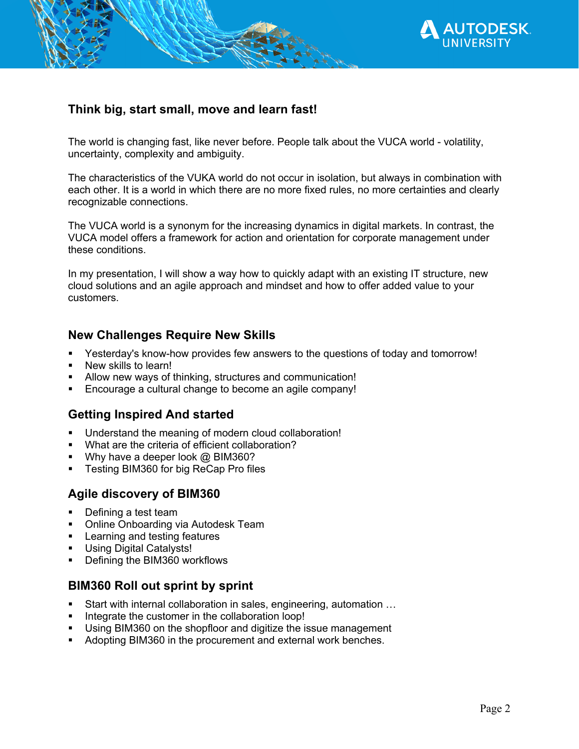

## **Think big, start small, move and learn fast!**

The world is changing fast, like never before. People talk about the VUCA world - volatility, uncertainty, complexity and ambiguity.

The characteristics of the VUKA world do not occur in isolation, but always in combination with each other. It is a world in which there are no more fixed rules, no more certainties and clearly recognizable connections.

The VUCA world is a synonym for the increasing dynamics in digital markets. In contrast, the VUCA model offers a framework for action and orientation for corporate management under these conditions.

In my presentation, I will show a way how to quickly adapt with an existing IT structure, new cloud solutions and an agile approach and mindset and how to offer added value to your customers.

#### **New Challenges Require New Skills**

- Yesterday's know-how provides few answers to the questions of today and tomorrow!
- New skills to learn!
- Allow new ways of thinking, structures and communication!
- Encourage a cultural change to become an agile company!

#### **Getting Inspired And started**

- Understand the meaning of modern cloud collaboration!
- What are the criteria of efficient collaboration?
- Why have a deeper look @ BIM360?
- Testing BIM360 for big ReCap Pro files

#### **Agile discovery of BIM360**

- § Defining a test team
- Online Onboarding via Autodesk Team
- Learning and testing features
- Using Digital Catalysts!
- Defining the BIM360 workflows

#### **BIM360 Roll out sprint by sprint**

- Start with internal collaboration in sales, engineering, automation ...
- Integrate the customer in the collaboration loop!
- Using BIM360 on the shopfloor and digitize the issue management
- Adopting BIM360 in the procurement and external work benches.